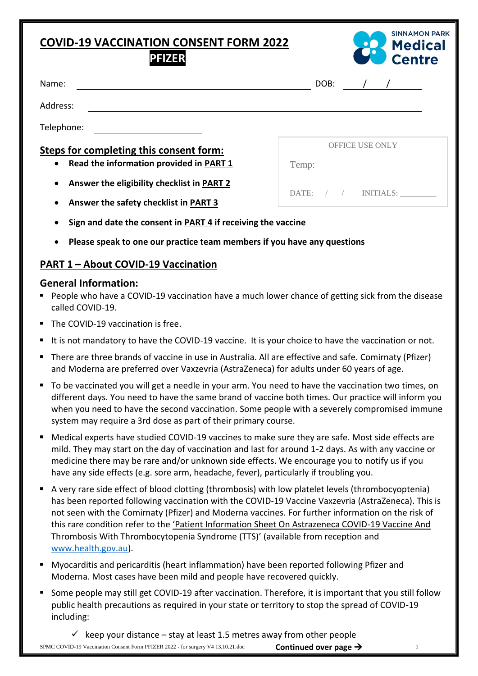# **COVID-19 VACCINATION CONSENT FORM 2022**



| FIZER |
|-------|
|-------|

| Name:                                                   | DOB:                      |
|---------------------------------------------------------|---------------------------|
| Address:                                                |                           |
| Telephone:                                              |                           |
| Steps for completing this consent form:                 | <b>OFFICE USE ONLY</b>    |
| Read the information provided in PART 1<br>$\bullet$    | Temp:                     |
| Answer the eligibility checklist in PART 2<br>$\bullet$ | DATE:<br><b>INITIALS:</b> |
| Answer the safety checklist in PART 3<br>$\bullet$      |                           |

- **Sign and date the consent in PART 4 if receiving the vaccine**
- **Please speak to one our practice team members if you have any questions**

## **PART 1 – About COVID-19 Vaccination**

#### **General Information:**

- People who have a COVID-19 vaccination have a much lower chance of getting sick from the disease called COVID-19.
- The COVID-19 vaccination is free.
- It is not mandatory to have the COVID-19 vaccine. It is your choice to have the vaccination or not.
- There are three brands of vaccine in use in Australia. All are effective and safe. Comirnaty (Pfizer) and Moderna are preferred over Vaxzevria (AstraZeneca) for adults under 60 years of age.
- To be vaccinated you will get a needle in your arm. You need to have the vaccination two times, on different days. You need to have the same brand of vaccine both times. Our practice will inform you when you need to have the second vaccination. Some people with a severely compromised immune system may require a 3rd dose as part of their primary course.
- Medical experts have studied COVID-19 vaccines to make sure they are safe. Most side effects are mild. They may start on the day of vaccination and last for around 1-2 days. As with any vaccine or medicine there may be rare and/or unknown side effects. We encourage you to notify us if you have any side effects (e.g. sore arm, headache, fever), particularly if troubling you.
- A very rare side effect of blood clotting (thrombosis) with low platelet levels (thrombocyoptenia) has been reported following vaccination with the COVID-19 Vaccine Vaxzevria (AstraZeneca). This is not seen with the Comirnaty (Pfizer) and Moderna vaccines. For further information on the risk of this rare condition refer to the 'Patient Information Sheet On Astrazeneca COVID-19 Vaccine And Thrombosis With Thrombocytopenia Syndrome (TTS)' (available from reception and [www.health.gov.au\)](http://www.health.gov.au/).
- Myocarditis and pericarditis (heart inflammation) have been reported following Pfizer and Moderna. Most cases have been mild and people have recovered quickly.
- Some people may still get COVID-19 after vaccination. Therefore, it is important that you still follow public health precautions as required in your state or territory to stop the spread of COVID-19 including:

SPMC COVID-19 Vaccination Consent Form PFIZER 2022 - for surgery V4 13.10.21.doc **Continued over page**  $\rightarrow$  1  $\checkmark$  keep your distance – stay at least 1.5 metres away from other people **Continued over page** →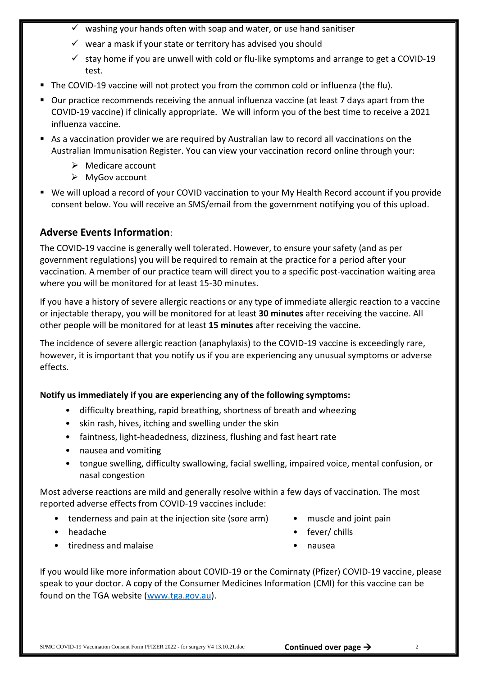- $\checkmark$  washing your hands often with soap and water, or use hand sanitiser
- $\checkmark$  wear a mask if your state or territory has advised you should
- $\checkmark$  stay home if you are unwell with cold or flu-like symptoms and arrange to get a COVID-19 test.
- The COVID-19 vaccine will not protect you from the common cold or influenza (the flu).
- Our practice recommends receiving the annual influenza vaccine (at least 7 days apart from the COVID-19 vaccine) if clinically appropriate. We will inform you of the best time to receive a 2021 influenza vaccine.
- As a vaccination provider we are required by Australian law to record all vaccinations on the Australian Immunisation Register. You can view your vaccination record online through your:
	- ➢ Medicare account
	- ➢ MyGov account
- We will upload a record of your COVID vaccination to your My Health Record account if you provide consent below. You will receive an SMS/email from the government notifying you of this upload.

## **Adverse Events Information**:

The COVID-19 vaccine is generally well tolerated. However, to ensure your safety (and as per government regulations) you will be required to remain at the practice for a period after your vaccination. A member of our practice team will direct you to a specific post-vaccination waiting area where you will be monitored for at least 15-30 minutes.

If you have a history of severe allergic reactions or any type of immediate allergic reaction to a vaccine or injectable therapy, you will be monitored for at least **30 minutes** after receiving the vaccine. All other people will be monitored for at least **15 minutes** after receiving the vaccine.

The incidence of severe allergic reaction (anaphylaxis) to the COVID-19 vaccine is exceedingly rare, however, it is important that you notify us if you are experiencing any unusual symptoms or adverse effects.

## **Notify us immediately if you are experiencing any of the following symptoms:**

- difficulty breathing, rapid breathing, shortness of breath and wheezing
- skin rash, hives, itching and swelling under the skin
- faintness, light-headedness, dizziness, flushing and fast heart rate
- nausea and vomiting
- tongue swelling, difficulty swallowing, facial swelling, impaired voice, mental confusion, or nasal congestion

Most adverse reactions are mild and generally resolve within a few days of vaccination. The most reported adverse effects from COVID-19 vaccines include:

- tenderness and pain at the injection site (sore arm)
- headache
- tiredness and malaise
- muscle and joint pain
- fever/ chills
- nausea

If you would like more information about COVID-19 or the Comirnaty (Pfizer) COVID-19 vaccine, please speak to your doctor. A copy of the Consumer Medicines Information (CMI) for this vaccine can be found on the TGA website [\(www.tga.gov.au\)](http://www.tga.gov.au/).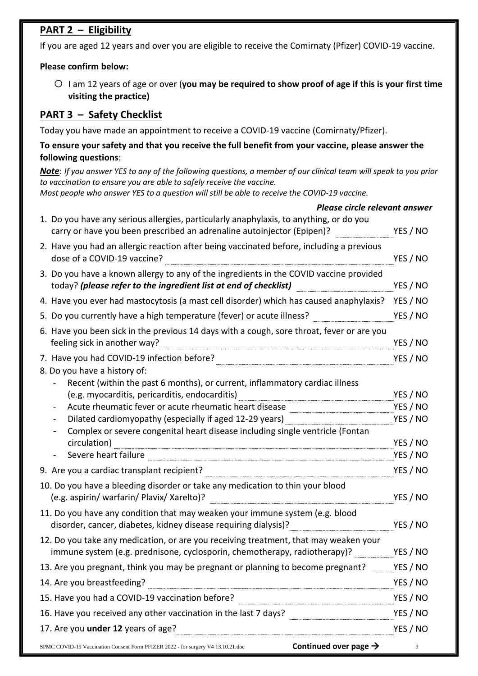# **PART 2 – Eligibility**

If you are aged 12 years and over you are eligible to receive the Comirnaty (Pfizer) COVID-19 vaccine.

#### **Please confirm below:**

o <sup>I</sup> am 12 years of age or over (**you may be required to show proof of age if this is your first time visiting the practice)**

# **PART 3 – Safety Checklist**

Today you have made an appointment to receive a COVID-19 vaccine (Comirnaty/Pfizer).

### **To ensure your safety and that you receive the full benefit from your vaccine, please answer the following questions**:

*Note*: *If you answer YES to any of the following questions, a member of our clinical team will speak to you prior to vaccination to ensure you are able to safely receive the vaccine.* 

*Most people who answer YES to a question will still be able to receive the COVID-19 vaccine.* 

| Please circle relevant answer                                                                                                                                     |                      |
|-------------------------------------------------------------------------------------------------------------------------------------------------------------------|----------------------|
| 1. Do you have any serious allergies, particularly anaphylaxis, to anything, or do you<br>carry or have you been prescribed an adrenaline autoinjector (Epipen)?  | YES / NO             |
| 2. Have you had an allergic reaction after being vaccinated before, including a previous<br>dose of a COVID-19 vaccine?                                           | YES / NO             |
| 3. Do you have a known allergy to any of the ingredients in the COVID vaccine provided<br>today? (please refer to the ingredient list at end of checklist)        | YES / NO             |
| 4. Have you ever had mastocytosis (a mast cell disorder) which has caused anaphylaxis?                                                                            | YES / NO             |
| 5. Do you currently have a high temperature (fever) or acute illness?                                                                                             | YES / NO             |
| 6. Have you been sick in the previous 14 days with a cough, sore throat, fever or are you<br>feeling sick in another way?                                         | YES / NO             |
| 7. Have you had COVID-19 infection before?<br>8. Do you have a history of:<br>Recent (within the past 6 months), or current, inflammatory cardiac illness         | YES / NO             |
| (e.g. myocarditis, pericarditis, endocarditis)                                                                                                                    | YES / NO             |
| Acute rheumatic fever or acute rheumatic heart disease <b>Acute 2018</b>                                                                                          | YES / NO             |
| Dilated cardiomyopathy (especially if aged 12-29 years)                                                                                                           | YES / NO             |
| Complex or severe congenital heart disease including single ventricle (Fontan                                                                                     |                      |
| circulation)<br>Severe heart failure                                                                                                                              | YES / NO<br>YES / NO |
|                                                                                                                                                                   | YES / NO             |
| 9. Are you a cardiac transplant recipient?                                                                                                                        |                      |
| 10. Do you have a bleeding disorder or take any medication to thin your blood<br>(e.g. aspirin/ warfarin/ Plavix/ Xarelto)?                                       | YES / NO             |
| 11. Do you have any condition that may weaken your immune system (e.g. blood<br>disorder, cancer, diabetes, kidney disease requiring dialysis)?                   | YES / NO             |
| 12. Do you take any medication, or are you receiving treatment, that may weaken your<br>immune system (e.g. prednisone, cyclosporin, chemotherapy, radiotherapy)? | YES / NO             |
| 13. Are you pregnant, think you may be pregnant or planning to become pregnant?                                                                                   | YES / NO             |
| 14. Are you breastfeeding?                                                                                                                                        | YES / NO             |
| 15. Have you had a COVID-19 vaccination before?                                                                                                                   | YES / NO             |
| 16. Have you received any other vaccination in the last 7 days? ________________                                                                                  | YES / NO             |
| 17. Are you under 12 years of age?                                                                                                                                | YES / NO             |
| Continued over page $\rightarrow$<br>SPMC COVID-19 Vaccination Consent Form PFIZER 2022 - for surgery V4 13.10.21.doc                                             | 3                    |